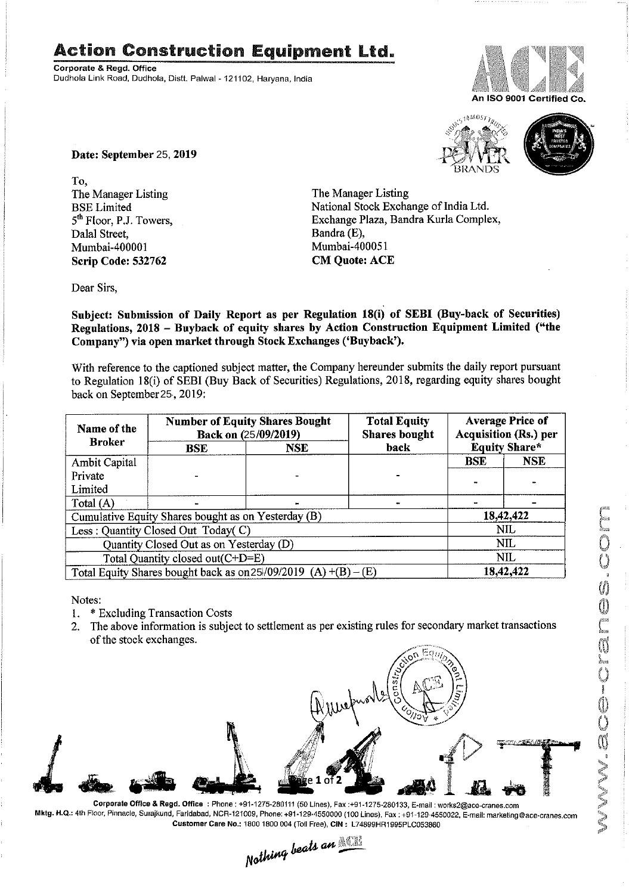## Action Construction Equipment Ltd.

Corporate & Regd. Office Dudhola Link Road, Dudhola, Distt. Palwal - 121102, Haryana, India



An ISO 9001 Certified Co





Date: September 25, <mark>2019</mark>

To,<br>The Manager Listing The Manager Listing The Manager Listing<br>BSE Limited National Stock Excha Dala] Street, Bandra (E), Mumbai-400001 Scrip Code: 532762 CM Quote: ACE

BSE Limited National Stock Exchange of India Ltd.<br>
5<sup>th</sup> Floor, P.J. Towers, Exchange Plaza, Bandra Kurla Comple Exchange Plaza, Bandra Kurla Complex, Bandra (E),

Dear Sirs,

Subject: Submission of Daily Report as per Regulation 18(i) of SEBI (Buy-back of Securities) Regulations, 2018 — Buyback of equity shares by Action Construction Equipment Limited ("the Company") via open market through Stock Exchanges ('Buyback').

With reference to the captioned subject matter, the Company hereunder submits the daily report pursuant to Regulation 18(i) of SEBI (Buy Back of Securities) Regulations, 2018, regarding equity shares bought back on September 25, 2019:

| Name of the<br><b>Broker</b>                                      | <b>Number of Equity Shares Bought</b><br>Back on (25/09/2019) |            | <b>Total Equity</b><br><b>Shares bought</b> | <b>Average Price of</b><br>Acquisition (Rs.) per |            |  |
|-------------------------------------------------------------------|---------------------------------------------------------------|------------|---------------------------------------------|--------------------------------------------------|------------|--|
|                                                                   | <b>BSE</b>                                                    | <b>NSE</b> | back                                        | <b>Equity Share*</b>                             |            |  |
| Ambit Capital                                                     |                                                               |            |                                             | <b>BSE</b>                                       | <b>NSE</b> |  |
| Private                                                           |                                                               |            |                                             |                                                  |            |  |
| Limited                                                           |                                                               |            |                                             |                                                  |            |  |
| Total $(A)$                                                       |                                                               |            |                                             |                                                  |            |  |
| Cumulative Equity Shares bought as on Yesterday (B)               |                                                               |            |                                             |                                                  | 18,42,422  |  |
| Less: Quantity Closed Out Today(C)                                |                                                               |            |                                             | NIL.                                             |            |  |
| Quantity Closed Out as on Yesterday (D)                           |                                                               |            |                                             | NIL                                              |            |  |
| Total Quantity closed out(C+D=E)                                  |                                                               |            |                                             | NIL                                              |            |  |
| Total Equity Shares bought back as on $25/09/2019$ (A) +(B) – (E) |                                                               |            |                                             | 18,42,422                                        |            |  |

Notes:

- 1. \* Excluding Transaction Costs
- 2. The above information is subject to settlement as per existing rules for secondary market transactions of the stock exchanges.



Corporate Office & Regd. Office : Phone : +91-1275-280111 (50 Lines), Fax :+91-1275-280133, E-mail : works2@ace-cranes.com Mktg. H.Q.: 4th Floor, Pinnacle, Surajkund, Faridabad, NCR-121009, Phone: +91-129-4550000 (100 Lines), Fax : +91-129-4550022, E-mail: marketing@ace-cranes.com

Customer Care No.: 1800 1800 004 (Toil Free), CIN: L74899HR1995PLC053860<br>
Nathing beats an **Allie**